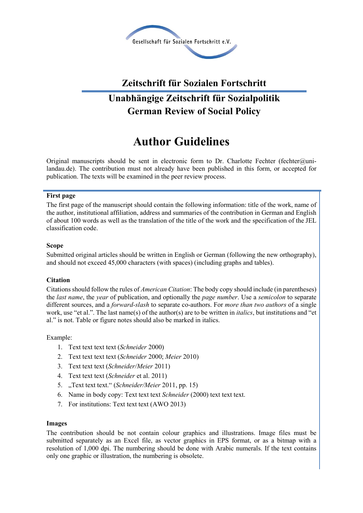

### **Zeitschrift für Sozialen Fortschritt**

## **Unabhängige Zeitschrift für Sozialpolitik German Review of Social Policy**

# **Author Guidelines**

Original manuscripts should be sent in electronic form to Dr. Charlotte Fechter (fechter $@$ unilandau.de). The contribution must not already have been published in this form, or accepted for publication. The texts will be examined in the peer review process.

#### **First page**

The first page of the manuscript should contain the following information: title of the work, name of the author, institutional affiliation, address and summaries of the contribution in German and English of about 100 words as well as the translation of the title of the work and the specification of the JEL classification code.

#### **Scope**

Submitted original articles should be written in English or German (following the new orthography), and should not exceed 45,000 characters (with spaces) (including graphs and tables).

#### **Citation**

Citations should follow the rules of *American Citation*: The body copy should include (in parentheses) the *last name*, the *year* of publication, and optionally the *page number*. Use a *semicolon* to separate different sources, and a *forward-slash* to separate co-authors. For *more than two authors* of a single work, use "et al.". The last name(s) of the author(s) are to be written in *italics*, but institutions and "et al." is not. Table or figure notes should also be marked in italics.

#### Example:

- 1. Text text text text (*Schneider* 2000)
- 2. Text text text text (*Schneider* 2000; *Meier* 2010)
- 3. Text text text (*Schneider/Meier* 2011)
- 4. Text text text (*Schneider* et al. 2011)
- 5. "Text text text." (*Schneider/Meier* 2011, pp. 15)
- 6. Name in body copy: Text text text *Schneider* (2000) text text text.
- 7. For institutions: Text text text (AWO 2013)

#### **Images**

The contribution should be not contain colour graphics and illustrations. Image files must be submitted separately as an Excel file, as vector graphics in EPS format, or as a bitmap with a resolution of 1,000 dpi. The numbering should be done with Arabic numerals. If the text contains only one graphic or illustration, the numbering is obsolete.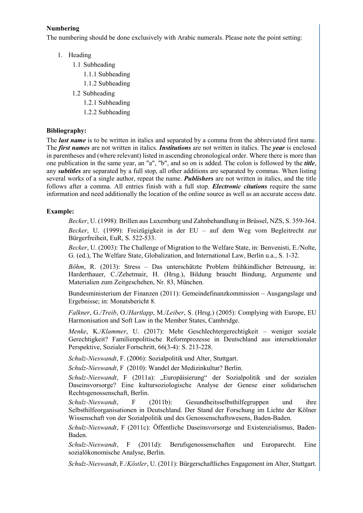#### **Numbering**

The numbering should be done exclusively with Arabic numerals. Please note the point setting:

- 1. Heading
	- 1.1 Subheading
		- 1.1.1 Subheading
		- 1.1.2 Subheading
	- 1.2 Subheading
		- 1.2.1 Subheading
		- 1.2.2 Subheading

#### **Bibliography:**

The *last name* is to be written in italics and separated by a comma from the abbreviated first name. The *first names* are not written in italics. *Institutions* are not written in italics. The *year* is enclosed in parentheses and (where relevant) listed in ascending chronological order. Where there is more than one publication in the same year, an "a", "b", and so on is added. The colon is followed by the *title*, any *subtitles* are separated by a full stop, all other additions are separated by commas. When listing several works of a single author, repeat the name. *Publishers* are not written in italics, and the title follows after a comma. All entries finish with a full stop. *Electronic citations* require the same information and need additionally the location of the online source as well as an accurate access date.

#### **Example:**

*Becker*, U. (1998): Brillen aus Luxemburg und Zahnbehandlung in Brüssel, NZS, S. 359-364. *Becker*, U. (1999): Freizügigkeit in der EU – auf dem Weg vom Begleitrecht zur Bürgerfreiheit, EuR, S. 522-533.

*Becker*, U. (2003): The Challenge of Migration to the Welfare State, in: Benvenisti, E./Nolte, G. (ed.), The Welfare State, Globalization, and International Law, Berlin u.a., S. 1-32.

*Böhm*, R. (2013): Stress – Das unterschätzte Problem frühkindlicher Betreuung, in: Harderthauer, C./Zehetmair, H. (Hrsg.), Bildung braucht Bindung, Argumente und Materialien zum Zeitgeschehen, Nr. 83, München.

Bundesministerium der Finanzen (2011): Gemeindefinanzkommission – Ausgangslage und Ergebnisse; in: Monatsbericht 8.

*Falkner*, G./*Treib*, O./*Hartlapp*, M./*Leiber*, S. (Hrsg.) (2005): Complying with Europe, EU Harmonisation and Soft Law in the Member States, Cambridge.

*Menke*, K./*Klammer*, U. (2017): Mehr Geschlechtergerechtigkeit – weniger soziale Gerechtigkeit? Familienpolitische Reformprozesse in Deutschland aus intersektionaler Perspektive, Sozialer Fortschritt, 66(3-4): S. 213-228.

*Schulz-Nieswandt*, F. (2006): Sozialpolitik und Alter, Stuttgart.

*Schulz-Nieswandt*, F (2010): Wandel der Medizinkultur? Berlin.

*Schulz-Nieswandt*, F (2011a): "Europäisierung" der Sozialpolitik und der sozialen Daseinsvorsorge? Eine kultursoziologische Analyse der Genese einer solidarischen Rechtsgenossenschaft, Berlin.

*Schulz-Nieswandt*, F (2011b): Gesundheitsselbsthilfegruppen und ihre Selbsthilfeorganisationen in Deutschland. Der Stand der Forschung im Lichte der Kölner Wissenschaft von der Sozialpolitik und des Genossenschaftswesens, Baden-Baden.

*Schulz-Nieswandt*, F (2011c): Öffentliche Daseinsvorsorge und Existenzialismus, Baden-Baden.

*Schulz-Nieswandt*, F (2011d): Berufsgenossenschaften und Europarecht. Eine sozialökonomische Analyse, Berlin.

*Schulz-Nieswandt*, F./*Köstler*, U. (2011): Bürgerschaftliches Engagement im Alter, Stuttgart.